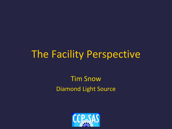# The Facility Perspective

Tim Snow Diamond Light Source

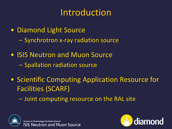## Introduction

- Diamond Light Source
	- Synchrotron x-ray radiation source
- ISIS Neutron and Muon Source – Spallation radiation source
- Scientific Computing Application Resource for Facilities (SCARF)
	- Joint computing resource on the RAL site



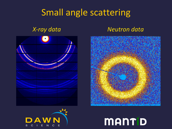#### Small angle scattering

#### *X-ray data Neutron data*







# MANTID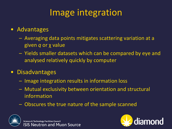## Image integration

#### • Advantages

- Averaging data points mitigates scattering variation at a given *q* or χ value
- Yields smaller datasets which can be compared by eye and analysed relatively quickly by computer
- Disadvantages
	- Image integration results in information loss
	- Mutual exclusivity between orientation and structural information
	- Obscures the true nature of the sample scanned



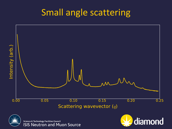### Small angle scattering



Scattering wavevector  $(q)$ 



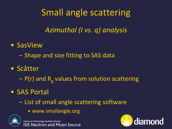## Small angle scattering

*Azimuthal (I vs. q) analysis*

- SasView
	- Shape and size fitting to SAS data
- Scåtter
	- P(r) and R<sub>g</sub> values from solution scattering
- SAS Portal
	- List of small angle scattering software
		- www.smallangle.org



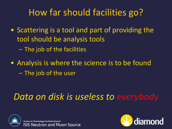## How far should facilities go?

- Scattering is a tool and part of providing the tool should be analysis tools
	- The job of the facilities
- Analysis is where the science is to be found – The job of the user

### *Data on disk is useless to everybody*



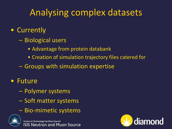### Analysing complex datasets

#### • Currently

- Biological users
	- Advantage from protein databank
	- Creation of simulation trajectory files catered for
- Groups with simulation expertise

#### • Future

- Polymer systems
- Soft matter systems
- Bio-mimetic systems



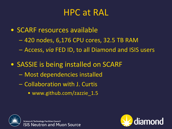#### HPC at RAL

- SCARF resources available
	- 420 nodes, 6,176 CPU cores, 32.5 TB RAM
	- Access, *via* FED ID, to all Diamond and ISIS users
- SASSIE is being installed on SCARF
	- Most dependencies installed
	- Collaboration with J. Curtis
		- www.github.com/zazzie 1.5



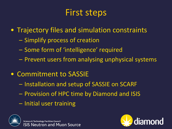### First steps

- Trajectory files and simulation constraints
	- Simplify process of creation
	- Some form of 'intelligence' required
	- Prevent users from analysing unphysical systems
- Commitment to SASSIE
	- Installation and setup of SASSIE on SCARF
	- Provision of HPC time by Diamond and ISIS
	- Initial user training



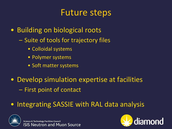#### Future steps

- Building on biological roots
	- Suite of tools for trajectory files
		- Colloidal systems
		- Polymer systems
		- Soft matter systems
- Develop simulation expertise at facilities – First point of contact
- Integrating SASSIE with RAL data analysis



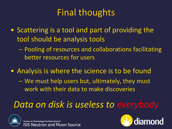## Final thoughts

- Scattering is a tool and part of providing the tool should be analysis tools
	- Pooling of resources and collaborations facilitating better resources for users
- Analysis is where the science is to be found
	- We must help users but, ultimately, they must work with their data to make discoveries

### *Data on disk is useless to everybody*